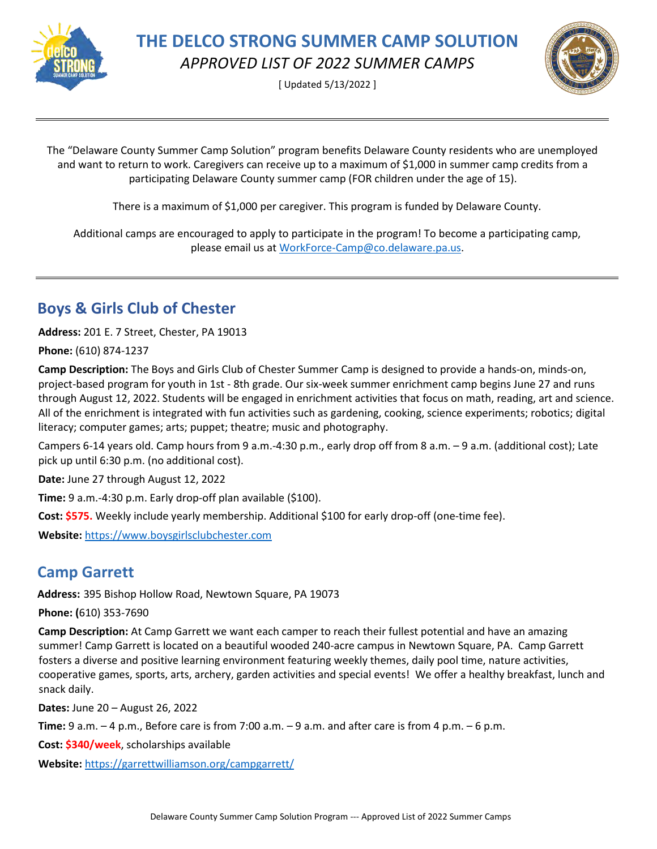

[ Updated 5/13/2022 ]



The "Delaware County Summer Camp Solution" program benefits Delaware County residents who are unemployed and want to return to work. Caregivers can receive up to a maximum of \$1,000 in summer camp credits from a participating Delaware County summer camp (FOR children under the age of 15).

There is a maximum of \$1,000 per caregiver. This program is funded by Delaware County.

Additional camps are encouraged to apply to participate in the program! To become a participating camp, please email us at [WorkForce-Camp@co.delaware.pa.us.](mailto:WorkForce-Camp@co.delaware.pa.us)

### **Boys & Girls Club of Chester**

**Address:** 201 E. 7 Street, Chester, PA 19013

**Phone:** (610) 874-1237

**Camp Description:** The Boys and Girls Club of Chester Summer Camp is designed to provide a hands-on, minds-on, project-based program for youth in 1st - 8th grade. Our six-week summer enrichment camp begins June 27 and runs through August 12, 2022. Students will be engaged in enrichment activities that focus on math, reading, art and science. All of the enrichment is integrated with fun activities such as gardening, cooking, science experiments; robotics; digital literacy; computer games; arts; puppet; theatre; music and photography.

Campers 6-14 years old. Camp hours from 9 a.m.-4:30 p.m., early drop off from 8 a.m. – 9 a.m. (additional cost); Late pick up until 6:30 p.m. (no additional cost).

**Date:** June 27 through August 12, 2022

**Time:** 9 a.m.-4:30 p.m. Early drop-off plan available (\$100).

**Cost: \$575.** Weekly include yearly membership. Additional \$100 for early drop-off (one-time fee).

**Website:** [https://www.boysgirlsclubchester.com](https://www.boysgirlsclubchester.com/)

#### **Camp Garrett**

**Address:** 395 Bishop Hollow Road, Newtown Square, PA 19073

**Phone: (**610) 353-7690

**Camp Description:** At Camp Garrett we want each camper to reach their fullest potential and have an amazing summer! Camp Garrett is located on a beautiful wooded 240-acre campus in Newtown Square, PA. Camp Garrett fosters a diverse and positive learning environment featuring weekly themes, daily pool time, nature activities, cooperative games, sports, arts, archery, garden activities and special events! We offer a healthy breakfast, lunch and snack daily.

**Dates:** June 20 – August 26, 2022

**Time:** 9 a.m. – 4 p.m., Before care is from 7:00 a.m. – 9 a.m. and after care is from 4 p.m. – 6 p.m.

**Cost: \$340/week**, scholarships available

**Website:** <https://garrettwilliamson.org/campgarrett/>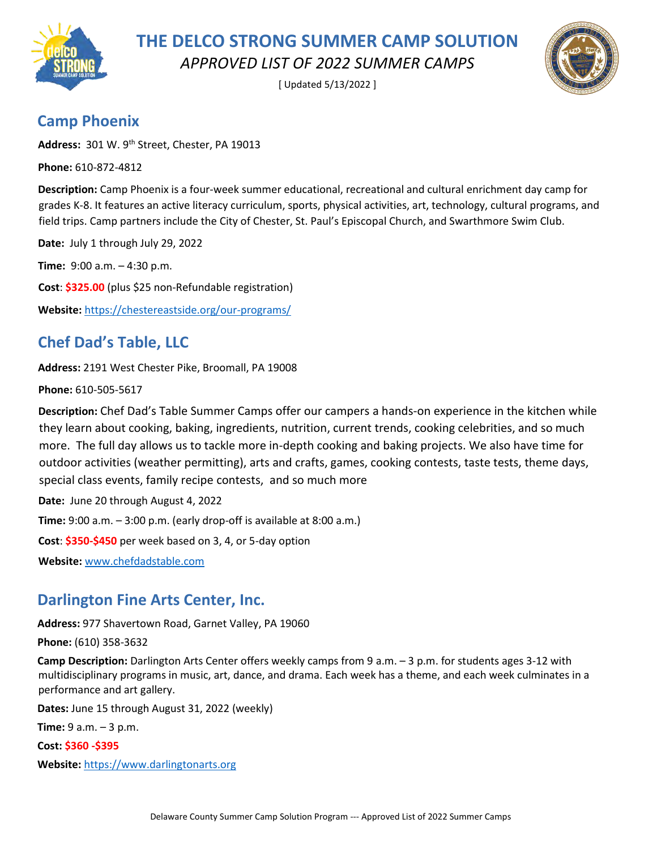

[ Updated 5/13/2022 ]



#### **Camp Phoenix**

**Address:** 301 W. 9th Street, Chester, PA 19013

**Phone:** 610-872-4812

**Description:** Camp Phoenix is a four-week summer educational, recreational and cultural enrichment day camp for grades K-8. It features an active literacy curriculum, sports, physical activities, art, technology, cultural programs, and field trips. Camp partners include the City of Chester, St. Paul's Episcopal Church, and Swarthmore Swim Club.

**Date:** July 1 through July 29, 2022

**Time:** 9:00 a.m. – 4:30 p.m.

**Cost**: **\$325.00** (plus \$25 non-Refundable registration)

**Website:** <https://chestereastside.org/our-programs/>

## **Chef Dad's Table, LLC**

**Address:** 2191 West Chester Pike, Broomall, PA 19008

**Phone:** 610-505-5617

**Description:** Chef Dad's Table Summer Camps offer our campers a hands-on experience in the kitchen while they learn about cooking, baking, ingredients, nutrition, current trends, cooking celebrities, and so much more. The full day allows us to tackle more in-depth cooking and baking projects. We also have time for outdoor activities (weather permitting), arts and crafts, games, cooking contests, taste tests, theme days, special class events, family recipe contests, and so much more

**Date:** June 20 through August 4, 2022

**Time:** 9:00 a.m. – 3:00 p.m. (early drop-off is available at 8:00 a.m.)

**Cost**: **\$350-\$450** per week based on 3, 4, or 5-day option

**Website:** [www.chefdadstable.com](https://gcc02.safelinks.protection.outlook.com/?url=http%3A%2F%2Fwww.chefdadstable.com%2F&data=05%7C01%7CHerlingerR%40co.delaware.pa.us%7C67dd6c46392e48e31f1808da2ea9a7cb%7C8551c32a4d014b3eb3a0d59c2f37e1ce%7C0%7C0%7C637873603445497846%7CUnknown%7CTWFpbGZsb3d8eyJWIjoiMC4wLjAwMDAiLCJQIjoiV2luMzIiLCJBTiI6Ik1haWwiLCJXVCI6Mn0%3D%7C3000%7C%7C%7C&sdata=gOWiriqhwPkPgcIyCxpreyNQp7f22RLBGLCVAq2Wudg%3D&reserved=0)

#### **Darlington Fine Arts Center, Inc.**

**Address:** 977 Shavertown Road, Garnet Valley, PA 19060

**Phone:** (610) 358-3632

**Camp Description:** Darlington Arts Center offers weekly camps from 9 a.m. – 3 p.m. for students ages 3-12 with multidisciplinary programs in music, art, dance, and drama. Each week has a theme, and each week culminates in a performance and art gallery.

**Dates:** June 15 through August 31, 2022 (weekly)

**Time:** 9 a.m. – 3 p.m.

**Cost: \$360 -\$395**

**Website:** [https://www.darlingtonarts.org](https://www.darlingtonarts.org/)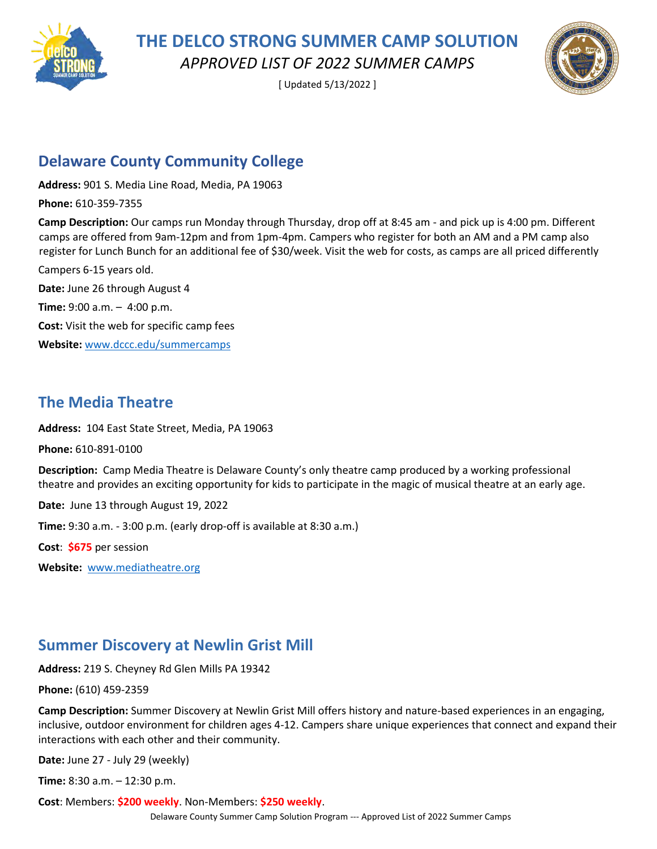

[ Updated 5/13/2022 ]



#### **Delaware County Community College**

**Address:** 901 S. Media Line Road, Media, PA 19063

**Phone:** 610-359-7355

**Camp Description:** Our camps run Monday through Thursday, drop off at 8:45 am - and pick up is 4:00 pm. Different camps are offered from 9am-12pm and from 1pm-4pm. Campers who register for both an AM and a PM camp also register for Lunch Bunch for an additional fee of \$30/week. Visit the web for costs, as camps are all priced differently

Campers 6-15 years old. **Date:** June 26 through August 4 **Time:** 9:00 a.m. – 4:00 p.m. **Cost:** Visit the web for specific camp fees **Website:** [www.dccc.edu/summercamps](https://gcc02.safelinks.protection.outlook.com/?url=http%3A%2F%2Fwww.dccc.edu%2Fsummercamps&data=05%7C01%7CHerlingerR%40co.delaware.pa.us%7C8f9e0b78ac8c427ffbb608da284c44bb%7C8551c32a4d014b3eb3a0d59c2f37e1ce%7C0%7C0%7C637866605283612497%7CUnknown%7CTWFpbGZsb3d8eyJWIjoiMC4wLjAwMDAiLCJQIjoiV2luMzIiLCJBTiI6Ik1haWwiLCJXVCI6Mn0%3D%7C3000%7C%7C%7C&sdata=Atd5U21cmjISrL5Zv5KxO2bf4aN1X%2B5X1%2FTa72FHdxs%3D&reserved=0)

#### **The Media Theatre**

**Address:** 104 East State Street, Media, PA 19063

**Phone:** 610-891-0100

**Description:** Camp Media Theatre is Delaware County's only theatre camp produced by a working professional theatre and provides an exciting opportunity for kids to participate in the magic of musical theatre at an early age.

**Date:** June 13 through August 19, 2022

**Time:** 9:30 a.m. - 3:00 p.m. (early drop-off is available at 8:30 a.m.)

**Cost**: **\$675** per session

**Website:** [www.mediatheatre.org](https://gcc02.safelinks.protection.outlook.com/?url=http%3A%2F%2Fwww.mediatheatre.org%2F&data=05%7C01%7CHerlingerR%40co.delaware.pa.us%7C67dd6c46392e48e31f1808da2ea9a7cb%7C8551c32a4d014b3eb3a0d59c2f37e1ce%7C0%7C0%7C637873603445497846%7CUnknown%7CTWFpbGZsb3d8eyJWIjoiMC4wLjAwMDAiLCJQIjoiV2luMzIiLCJBTiI6Ik1haWwiLCJXVCI6Mn0%3D%7C3000%7C%7C%7C&sdata=0tKPbr9xIf63Tmxl0Zl3icQzQ68%2FwI5bVB0mWQv2tC8%3D&reserved=0)

#### **Summer Discovery at Newlin Grist Mill**

**Address:** 219 S. Cheyney Rd Glen Mills PA 19342

**Phone:** (610) 459-2359

**Camp Description:** Summer Discovery at Newlin Grist Mill offers history and nature-based experiences in an engaging, inclusive, outdoor environment for children ages 4-12. Campers share unique experiences that connect and expand their interactions with each other and their community.

**Date:** June 27 - July 29 (weekly)

**Time:** 8:30 a.m. – 12:30 p.m.

**Cost**: Members: **\$200 weekly**. Non-Members: **\$250 weekly**.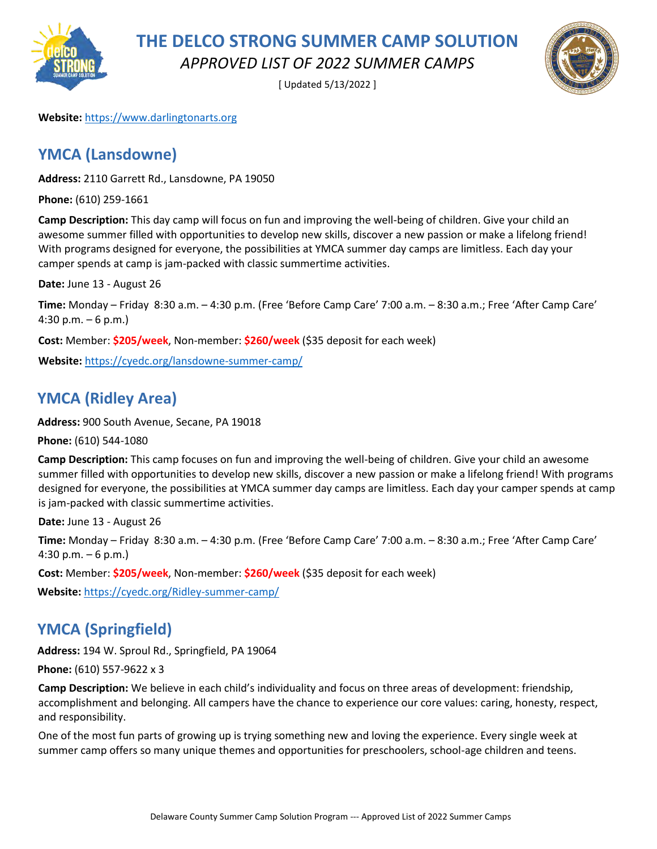

[ Updated 5/13/2022 ]



#### **Website:** [https://www.darlingtonarts.org](https://www.darlingtonarts.org/)

#### **YMCA (Lansdowne)**

**Address:** 2110 Garrett Rd., Lansdowne, PA 19050

**Phone:** (610) 259-1661

**Camp Description:** This day camp will focus on fun and improving the well-being of children. Give your child an awesome summer filled with opportunities to develop new skills, discover a new passion or make a lifelong friend! With programs designed for everyone, the possibilities at YMCA summer day camps are limitless. Each day your camper spends at camp is jam-packed with classic summertime activities.

**Date:** June 13 - August 26

**Time:** Monday – Friday 8:30 a.m. – 4:30 p.m. (Free 'Before Camp Care' 7:00 a.m. – 8:30 a.m.; Free 'After Camp Care' 4:30 p.m.  $-6$  p.m.)

**Cost:** Member: **\$205/week**, Non-member: **\$260/week** (\$35 deposit for each week)

**Website:** <https://cyedc.org/lansdowne-summer-camp/>

### **YMCA (Ridley Area)**

**Address:** 900 South Avenue, Secane, PA 19018

**Phone:** (610) 544-1080

**Camp Description:** This camp focuses on fun and improving the well-being of children. Give your child an awesome summer filled with opportunities to develop new skills, discover a new passion or make a lifelong friend! With programs designed for everyone, the possibilities at YMCA summer day camps are limitless. Each day your camper spends at camp is jam-packed with classic summertime activities.

**Date:** June 13 - August 26

**Time:** Monday – Friday 8:30 a.m. – 4:30 p.m. (Free 'Before Camp Care' 7:00 a.m. – 8:30 a.m.; Free 'After Camp Care' 4:30 p.m.  $-6$  p.m.)

**Cost:** Member: **\$205/week**, Non-member: **\$260/week** (\$35 deposit for each week)

**Website:** <https://cyedc.org/Ridley-summer-camp/>

### **YMCA (Springfield)**

**Address:** 194 W. Sproul Rd., Springfield, PA 19064

**Phone:** (610) 557-9622 x 3

**Camp Description:** We believe in each child's individuality and focus on three areas of development: friendship, accomplishment and belonging. All campers have the chance to experience our core values: caring, honesty, respect, and responsibility.

One of the most fun parts of growing up is trying something new and loving the experience. Every single week at summer camp offers so many unique themes and opportunities for preschoolers, school-age children and teens.